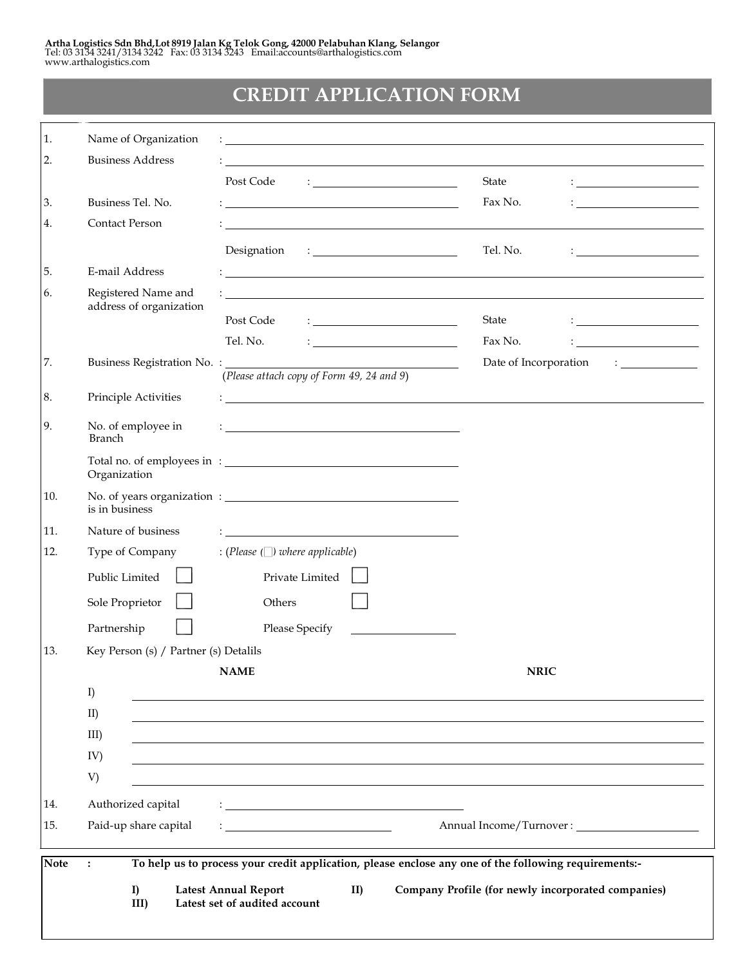## **CREDIT APPLICATION FORM**

| $\ddot{\phantom{a}}$                |                                                                                                                                                                                     |                                                                                                                                                                    |                                                                                                                                                                                                                                                                                                                                                                                                                                                                                                                                                                                                                                                                                                                                                                                                                                                                                                                                                                                                                                                                                                                                                                                                                                                                                                                                                                                                                                                                                                                                                                                                                             |
|-------------------------------------|-------------------------------------------------------------------------------------------------------------------------------------------------------------------------------------|--------------------------------------------------------------------------------------------------------------------------------------------------------------------|-----------------------------------------------------------------------------------------------------------------------------------------------------------------------------------------------------------------------------------------------------------------------------------------------------------------------------------------------------------------------------------------------------------------------------------------------------------------------------------------------------------------------------------------------------------------------------------------------------------------------------------------------------------------------------------------------------------------------------------------------------------------------------------------------------------------------------------------------------------------------------------------------------------------------------------------------------------------------------------------------------------------------------------------------------------------------------------------------------------------------------------------------------------------------------------------------------------------------------------------------------------------------------------------------------------------------------------------------------------------------------------------------------------------------------------------------------------------------------------------------------------------------------------------------------------------------------------------------------------------------------|
| Paid-up share capital               |                                                                                                                                                                                     |                                                                                                                                                                    |                                                                                                                                                                                                                                                                                                                                                                                                                                                                                                                                                                                                                                                                                                                                                                                                                                                                                                                                                                                                                                                                                                                                                                                                                                                                                                                                                                                                                                                                                                                                                                                                                             |
| Authorized capital                  |                                                                                                                                                                                     |                                                                                                                                                                    |                                                                                                                                                                                                                                                                                                                                                                                                                                                                                                                                                                                                                                                                                                                                                                                                                                                                                                                                                                                                                                                                                                                                                                                                                                                                                                                                                                                                                                                                                                                                                                                                                             |
| V)                                  |                                                                                                                                                                                     |                                                                                                                                                                    |                                                                                                                                                                                                                                                                                                                                                                                                                                                                                                                                                                                                                                                                                                                                                                                                                                                                                                                                                                                                                                                                                                                                                                                                                                                                                                                                                                                                                                                                                                                                                                                                                             |
| IV)                                 |                                                                                                                                                                                     |                                                                                                                                                                    |                                                                                                                                                                                                                                                                                                                                                                                                                                                                                                                                                                                                                                                                                                                                                                                                                                                                                                                                                                                                                                                                                                                                                                                                                                                                                                                                                                                                                                                                                                                                                                                                                             |
| $III$ )                             |                                                                                                                                                                                     |                                                                                                                                                                    |                                                                                                                                                                                                                                                                                                                                                                                                                                                                                                                                                                                                                                                                                                                                                                                                                                                                                                                                                                                                                                                                                                                                                                                                                                                                                                                                                                                                                                                                                                                                                                                                                             |
| II)                                 |                                                                                                                                                                                     |                                                                                                                                                                    |                                                                                                                                                                                                                                                                                                                                                                                                                                                                                                                                                                                                                                                                                                                                                                                                                                                                                                                                                                                                                                                                                                                                                                                                                                                                                                                                                                                                                                                                                                                                                                                                                             |
| I)                                  |                                                                                                                                                                                     |                                                                                                                                                                    |                                                                                                                                                                                                                                                                                                                                                                                                                                                                                                                                                                                                                                                                                                                                                                                                                                                                                                                                                                                                                                                                                                                                                                                                                                                                                                                                                                                                                                                                                                                                                                                                                             |
|                                     |                                                                                                                                                                                     |                                                                                                                                                                    |                                                                                                                                                                                                                                                                                                                                                                                                                                                                                                                                                                                                                                                                                                                                                                                                                                                                                                                                                                                                                                                                                                                                                                                                                                                                                                                                                                                                                                                                                                                                                                                                                             |
|                                     |                                                                                                                                                                                     |                                                                                                                                                                    |                                                                                                                                                                                                                                                                                                                                                                                                                                                                                                                                                                                                                                                                                                                                                                                                                                                                                                                                                                                                                                                                                                                                                                                                                                                                                                                                                                                                                                                                                                                                                                                                                             |
|                                     |                                                                                                                                                                                     |                                                                                                                                                                    |                                                                                                                                                                                                                                                                                                                                                                                                                                                                                                                                                                                                                                                                                                                                                                                                                                                                                                                                                                                                                                                                                                                                                                                                                                                                                                                                                                                                                                                                                                                                                                                                                             |
|                                     |                                                                                                                                                                                     |                                                                                                                                                                    |                                                                                                                                                                                                                                                                                                                                                                                                                                                                                                                                                                                                                                                                                                                                                                                                                                                                                                                                                                                                                                                                                                                                                                                                                                                                                                                                                                                                                                                                                                                                                                                                                             |
|                                     |                                                                                                                                                                                     |                                                                                                                                                                    |                                                                                                                                                                                                                                                                                                                                                                                                                                                                                                                                                                                                                                                                                                                                                                                                                                                                                                                                                                                                                                                                                                                                                                                                                                                                                                                                                                                                                                                                                                                                                                                                                             |
| Type of Company                     | : (Please $(\Box)$ where applicable)                                                                                                                                                |                                                                                                                                                                    |                                                                                                                                                                                                                                                                                                                                                                                                                                                                                                                                                                                                                                                                                                                                                                                                                                                                                                                                                                                                                                                                                                                                                                                                                                                                                                                                                                                                                                                                                                                                                                                                                             |
|                                     |                                                                                                                                                                                     |                                                                                                                                                                    |                                                                                                                                                                                                                                                                                                                                                                                                                                                                                                                                                                                                                                                                                                                                                                                                                                                                                                                                                                                                                                                                                                                                                                                                                                                                                                                                                                                                                                                                                                                                                                                                                             |
|                                     |                                                                                                                                                                                     |                                                                                                                                                                    |                                                                                                                                                                                                                                                                                                                                                                                                                                                                                                                                                                                                                                                                                                                                                                                                                                                                                                                                                                                                                                                                                                                                                                                                                                                                                                                                                                                                                                                                                                                                                                                                                             |
|                                     |                                                                                                                                                                                     |                                                                                                                                                                    |                                                                                                                                                                                                                                                                                                                                                                                                                                                                                                                                                                                                                                                                                                                                                                                                                                                                                                                                                                                                                                                                                                                                                                                                                                                                                                                                                                                                                                                                                                                                                                                                                             |
| No. of employee in<br><b>Branch</b> |                                                                                                                                                                                     |                                                                                                                                                                    |                                                                                                                                                                                                                                                                                                                                                                                                                                                                                                                                                                                                                                                                                                                                                                                                                                                                                                                                                                                                                                                                                                                                                                                                                                                                                                                                                                                                                                                                                                                                                                                                                             |
| Principle Activities                |                                                                                                                                                                                     |                                                                                                                                                                    |                                                                                                                                                                                                                                                                                                                                                                                                                                                                                                                                                                                                                                                                                                                                                                                                                                                                                                                                                                                                                                                                                                                                                                                                                                                                                                                                                                                                                                                                                                                                                                                                                             |
|                                     |                                                                                                                                                                                     |                                                                                                                                                                    | $\mathbf{1}$ and $\mathbf{1}$ and $\mathbf{1}$ and $\mathbf{1}$                                                                                                                                                                                                                                                                                                                                                                                                                                                                                                                                                                                                                                                                                                                                                                                                                                                                                                                                                                                                                                                                                                                                                                                                                                                                                                                                                                                                                                                                                                                                                             |
|                                     |                                                                                                                                                                                     |                                                                                                                                                                    | <u> 1990 - Johann Barbara, martin a</u>                                                                                                                                                                                                                                                                                                                                                                                                                                                                                                                                                                                                                                                                                                                                                                                                                                                                                                                                                                                                                                                                                                                                                                                                                                                                                                                                                                                                                                                                                                                                                                                     |
|                                     | Post Code                                                                                                                                                                           | State                                                                                                                                                              |                                                                                                                                                                                                                                                                                                                                                                                                                                                                                                                                                                                                                                                                                                                                                                                                                                                                                                                                                                                                                                                                                                                                                                                                                                                                                                                                                                                                                                                                                                                                                                                                                             |
| address of organization             |                                                                                                                                                                                     |                                                                                                                                                                    |                                                                                                                                                                                                                                                                                                                                                                                                                                                                                                                                                                                                                                                                                                                                                                                                                                                                                                                                                                                                                                                                                                                                                                                                                                                                                                                                                                                                                                                                                                                                                                                                                             |
| E-mail Address                      |                                                                                                                                                                                     |                                                                                                                                                                    |                                                                                                                                                                                                                                                                                                                                                                                                                                                                                                                                                                                                                                                                                                                                                                                                                                                                                                                                                                                                                                                                                                                                                                                                                                                                                                                                                                                                                                                                                                                                                                                                                             |
|                                     |                                                                                                                                                                                     | Tel. No.                                                                                                                                                           | : <u>__________________________</u> _                                                                                                                                                                                                                                                                                                                                                                                                                                                                                                                                                                                                                                                                                                                                                                                                                                                                                                                                                                                                                                                                                                                                                                                                                                                                                                                                                                                                                                                                                                                                                                                       |
|                                     |                                                                                                                                                                                     |                                                                                                                                                                    |                                                                                                                                                                                                                                                                                                                                                                                                                                                                                                                                                                                                                                                                                                                                                                                                                                                                                                                                                                                                                                                                                                                                                                                                                                                                                                                                                                                                                                                                                                                                                                                                                             |
|                                     |                                                                                                                                                                                     |                                                                                                                                                                    | <u> 1989 - Andrea Andrew Maria (b. 1989)</u>                                                                                                                                                                                                                                                                                                                                                                                                                                                                                                                                                                                                                                                                                                                                                                                                                                                                                                                                                                                                                                                                                                                                                                                                                                                                                                                                                                                                                                                                                                                                                                                |
|                                     |                                                                                                                                                                                     |                                                                                                                                                                    |                                                                                                                                                                                                                                                                                                                                                                                                                                                                                                                                                                                                                                                                                                                                                                                                                                                                                                                                                                                                                                                                                                                                                                                                                                                                                                                                                                                                                                                                                                                                                                                                                             |
|                                     | Business Tel. No.<br><b>Contact Person</b><br>Registered Name and<br>Organization<br>is in business<br>Nature of business<br>Public Limited<br>Sole Proprietor<br>Partnership<br>I) | Post Code<br>Tel. No.<br>Private Limited<br>Others<br>Please Specify<br>Key Person (s) / Partner (s) Detalils<br><b>NAME</b><br><b>Latest Annual Report</b><br>II) | State<br>$\mathbf{1}_{\mathbf{2}}$ . The set of the set of the set of the set of the set of the set of the set of the set of the set of the set of the set of the set of the set of the set of the set of the set of the set of the set of the se<br>Fax No.<br>$\mathbf{C} = \mathbf{C} \times \mathbf{C}$ , where $\mathbf{C} = \mathbf{C} \times \mathbf{C}$ , where $\mathbf{C} = \mathbf{C} \times \mathbf{C}$<br><u> 1980 - Johann Barnett, fransk politiker (d. 1980)</u><br><u> 1989 - Johann Stoff, deutscher Stoffen und der Stoffen und der Stoffen und der Stoffen und der Stoffen und der Stoffen und der Stoffen und der Stoffen und der Stoffen und der Stoffen und der Stoffen und der Stoffen und d</u><br>$\mathbf{1}$ , and the set of the set of the set of the set of the set of the set of the set of the set of the set of the set of the set of the set of the set of the set of the set of the set of the set of the set of the set<br>Fax No.<br><u> : _______________________</u><br>Date of Incorporation<br><u> 1990 - Johann Barbara, martin a</u><br>(Please attach copy of Form 49, 24 and 9)<br><u> 1989 - Johann Stein, marwolaethau a bhann an t-Amhair Aonaichte ann an t-Amhair Aonaichte ann an t-Amhair Aon</u><br><u> 1989 - Johann Barbara, martin amerikan basar dan berasal dalam basa dalam basa dalam basa dalam basa dalam b</u><br><b>NRIC</b><br><u> 1989 - Johann Stoff, amerikansk politiker (d. 1989)</u><br>To help us to process your credit application, please enclose any one of the following requirements:-<br>Company Profile (for newly incorporated companies) |